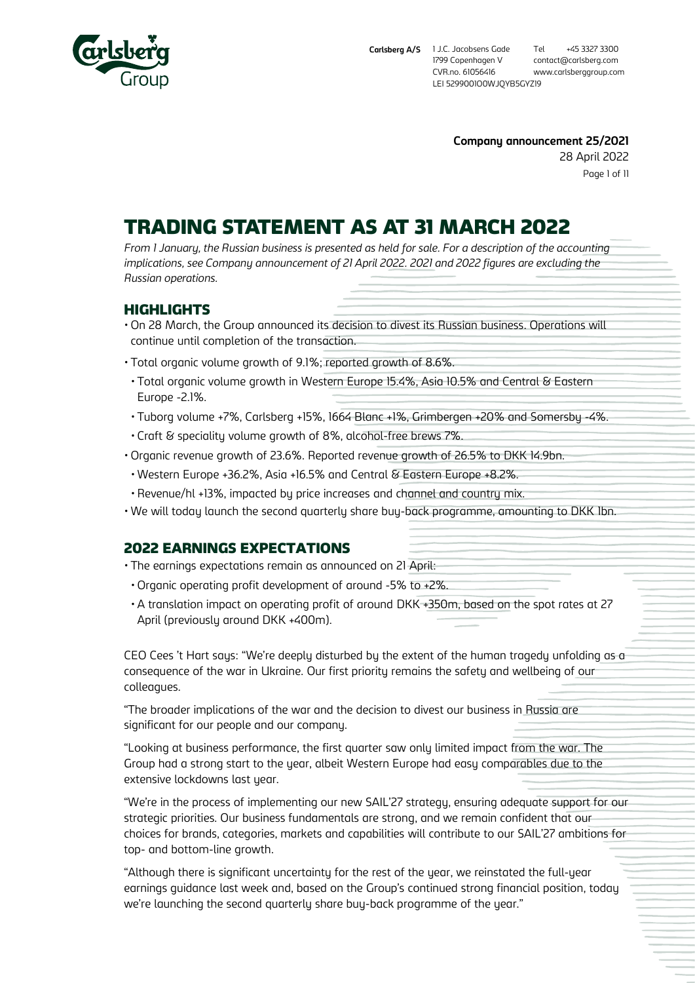

Page 1 of 11 **Company announcement 25/2021** 28 April 2022

# TRADING STATEMENT AS AT 31 MARCH 2022

*From 1 January, the Russian business is presented as held for sale. For a description of the accounting implications, see Company announcement of 21 April 2022. 2021 and 2022 figures are excluding the Russian operations.*

## HIGHLIGHTS

- On 28 March, the Group announced its decision to divest its Russian business. Operations will continue until completion of the transaction.
- Total organic volume growth of 9.1%; reported growth of 8.6%.
- Total organic volume growth in Western Europe 15.4%, Asia 10.5% and Central & Eastern Europe -2.1%.
- Tuborg volume +7%, Carlsberg +15%, 1664 Blanc +1%, Grimbergen +20% and Somersby -4%.
- Craft & speciality volume growth of 8%, alcohol-free brews 7%.
- Organic revenue growth of 23.6%. Reported revenue growth of 26.5% to DKK 14.9bn.
- Western Europe +36.2%, Asia +16.5% and Central & Eastern Europe +8.2%.
- Revenue/hl +13%, impacted by price increases and channel and country mix.
- We will today launch the second quarterly share buy-back programme, amounting to DKK 1bn.

## 2022 EARNINGS EXPECTATIONS

- The earnings expectations remain as announced on 21 April:
- Organic operating profit development of around -5% to +2%.
- A translation impact on operating profit of around DKK +350m, based on the spot rates at 27 April (previously around DKK +400m).

CEO Cees 't Hart says: "We're deeply disturbed by the extent of the human tragedy unfolding as a consequence of the war in Ukraine. Our first priority remains the safety and wellbeing of our colleagues.

"The broader implications of the war and the decision to divest our business in Russia are significant for our people and our company.

"Looking at business performance, the first quarter saw only limited impact from the war. The Group had a strong start to the year, albeit Western Europe had easy comparables due to the extensive lockdowns last year.

"We're in the process of implementing our new SAIL'27 strategy, ensuring adequate support for our strategic priorities. Our business fundamentals are strong, and we remain confident that our choices for brands, categories, markets and capabilities will contribute to our SAIL'27 ambitions for top- and bottom-line growth.

"Although there is significant uncertainty for the rest of the year, we reinstated the full-year earnings guidance last week and, based on the Group's continued strong financial position, today we're launching the second quarterly share buy-back programme of the year."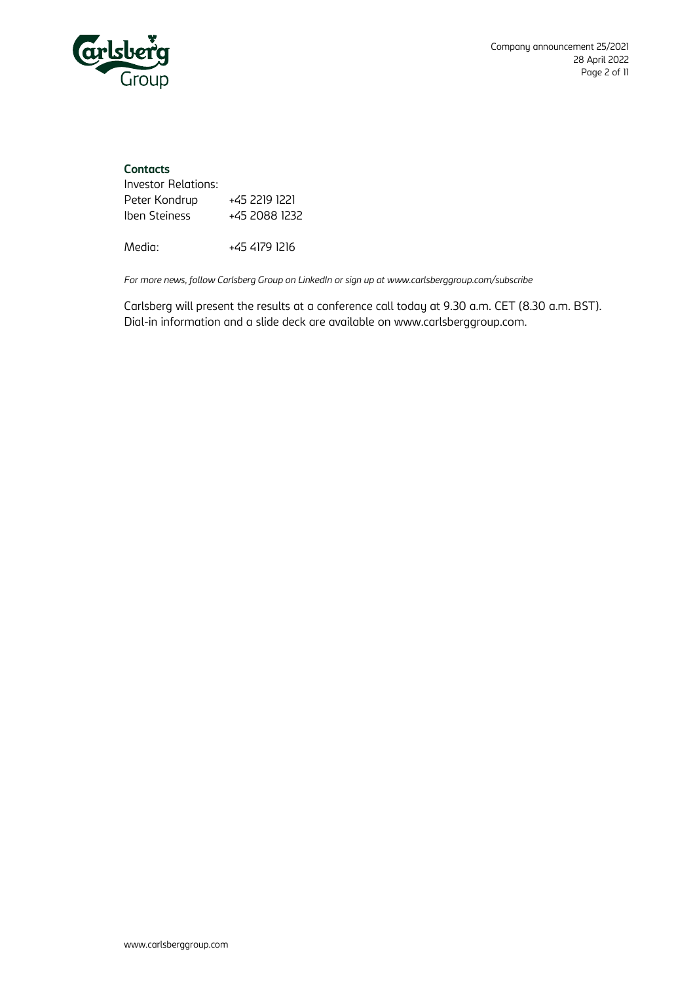

## **Contacts**

| Investor Relations: |               |
|---------------------|---------------|
| Peter Kondrup       | +45 2219 1221 |
| Iben Steiness       | +45 2088 1232 |

Media: +45 4179 1216

*For more news, follow Carlsberg Group on LinkedIn or sign up at www.carlsberggroup.com/subscribe*

Carlsberg will present the results at a conference call today at 9.30 a.m. CET (8.30 a.m. BST). Dial-in information and a slide deck are available on [www.carlsberggroup.com.](http://www.carlsberggroup.com/)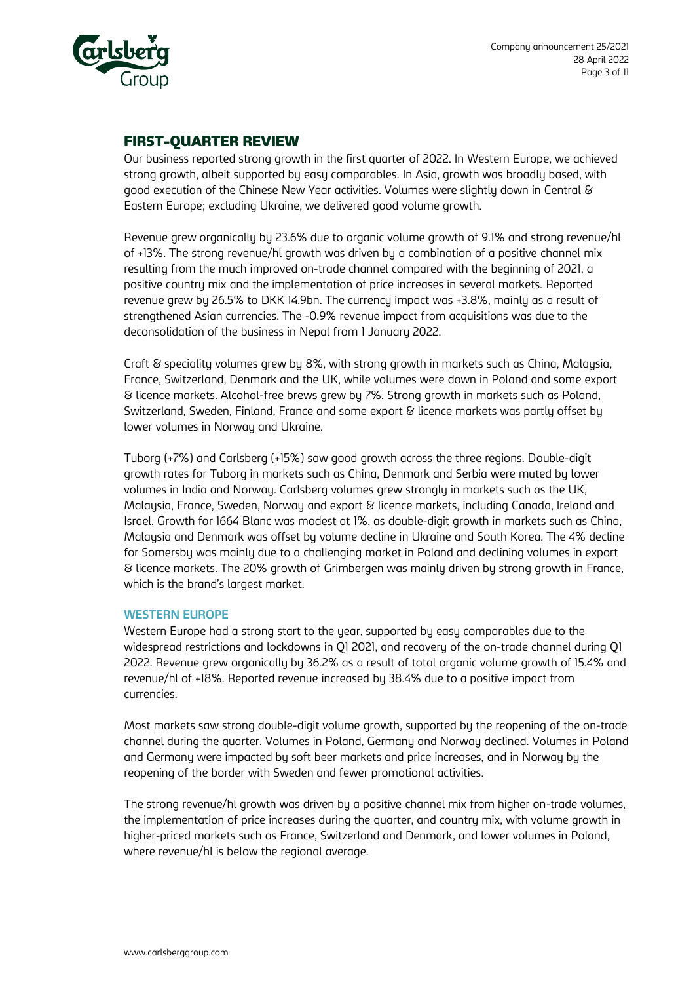

## FIRST-QUARTER REVIEW

Our business reported strong growth in the first quarter of 2022. In Western Europe, we achieved strong growth, albeit supported by easy comparables. In Asia, growth was broadly based, with good execution of the Chinese New Year activities. Volumes were slightly down in Central & Eastern Europe; excluding Ukraine, we delivered good volume growth.

Revenue grew organically by 23.6% due to organic volume growth of 9.1% and strong revenue/hl of +13%. The strong revenue/hl growth was driven by a combination of a positive channel mix resulting from the much improved on-trade channel compared with the beginning of 2021, a positive country mix and the implementation of price increases in several markets. Reported revenue grew by 26.5% to DKK 14.9bn. The currency impact was +3.8%, mainly as a result of strengthened Asian currencies. The -0.9% revenue impact from acquisitions was due to the deconsolidation of the business in Nepal from 1 January 2022.

Craft & speciality volumes grew by 8%, with strong growth in markets such as China, Malaysia, France, Switzerland, Denmark and the UK, while volumes were down in Poland and some export & licence markets. Alcohol-free brews grew by 7%. Strong growth in markets such as Poland, Switzerland, Sweden, Finland, France and some export & licence markets was partly offset by lower volumes in Norway and Ukraine.

Tuborg (+7%) and Carlsberg (+15%) saw good growth across the three regions. Double-digit growth rates for Tuborg in markets such as China, Denmark and Serbia were muted by lower volumes in India and Norway. Carlsberg volumes grew strongly in markets such as the UK, Malaysia, France, Sweden, Norway and export & licence markets, including Canada, Ireland and Israel. Growth for 1664 Blanc was modest at 1%, as double-digit growth in markets such as China, Malaysia and Denmark was offset by volume decline in Ukraine and South Korea. The 4% decline for Somersby was mainly due to a challenging market in Poland and declining volumes in export & licence markets. The 20% growth of Grimbergen was mainly driven by strong growth in France, which is the brand's largest market.

#### **WESTERN EUROPE**

Western Europe had a strong start to the year, supported by easy comparables due to the widespread restrictions and lockdowns in Q1 2021, and recovery of the on-trade channel during Q1 2022. Revenue grew organically by 36.2% as a result of total organic volume growth of 15.4% and revenue/hl of +18%. Reported revenue increased by 38.4% due to a positive impact from currencies.

Most markets saw strong double-digit volume growth, supported by the reopening of the on-trade channel during the quarter. Volumes in Poland, Germany and Norway declined. Volumes in Poland and Germany were impacted by soft beer markets and price increases, and in Norway by the reopening of the border with Sweden and fewer promotional activities.

The strong revenue/hl growth was driven by a positive channel mix from higher on-trade volumes, the implementation of price increases during the quarter, and country mix, with volume growth in higher-priced markets such as France, Switzerland and Denmark, and lower volumes in Poland, where revenue/hl is below the regional average.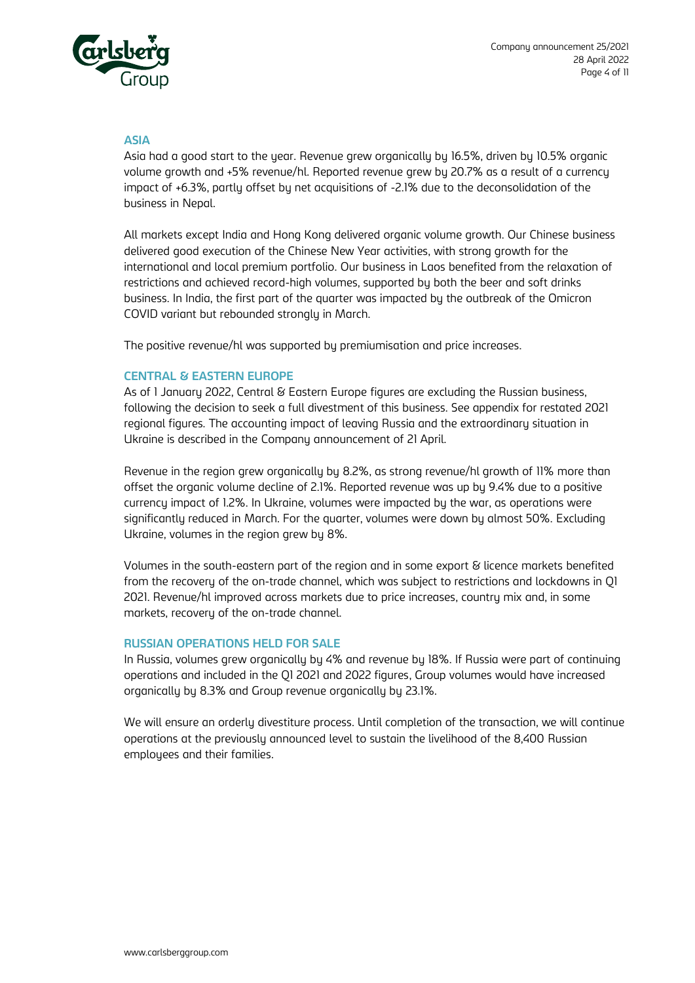

#### **ASIA**

Asia had a good start to the year. Revenue grew organically by 16.5%, driven by 10.5% organic volume growth and +5% revenue/hl. Reported revenue grew by 20.7% as a result of a currency impact of +6.3%, partly offset by net acquisitions of -2.1% due to the deconsolidation of the business in Nepal.

All markets except India and Hong Kong delivered organic volume growth. Our Chinese business delivered good execution of the Chinese New Year activities, with strong growth for the international and local premium portfolio. Our business in Laos benefited from the relaxation of restrictions and achieved record-high volumes, supported by both the beer and soft drinks business. In India, the first part of the quarter was impacted by the outbreak of the Omicron COVID variant but rebounded strongly in March.

The positive revenue/hl was supported by premiumisation and price increases.

#### **CENTRAL & EASTERN EUROPE**

As of 1 January 2022, Central & Eastern Europe figures are excluding the Russian business, following the decision to seek a full divestment of this business. See appendix for restated 2021 regional figures. The accounting impact of leaving Russia and the extraordinary situation in Ukraine is described in the Company announcement of 21 April.

Revenue in the region grew organically by 8.2%, as strong revenue/hl growth of 11% more than offset the organic volume decline of 2.1%. Reported revenue was up by 9.4% due to a positive currency impact of 1.2%. In Ukraine, volumes were impacted by the war, as operations were significantly reduced in March. For the quarter, volumes were down by almost 50%. Excluding Ukraine, volumes in the region grew by 8%.

Volumes in the south-eastern part of the region and in some export & licence markets benefited from the recovery of the on-trade channel, which was subject to restrictions and lockdowns in Q1 2021. Revenue/hl improved across markets due to price increases, country mix and, in some markets, recovery of the on-trade channel.

#### **RUSSIAN OPERATIONS HELD FOR SALE**

In Russia, volumes grew organically by 4% and revenue by 18%. If Russia were part of continuing operations and included in the Q1 2021 and 2022 figures, Group volumes would have increased organically by 8.3% and Group revenue organically by 23.1%.

We will ensure an orderly divestiture process. Until completion of the transaction, we will continue operations at the previously announced level to sustain the livelihood of the 8,400 Russian employees and their families.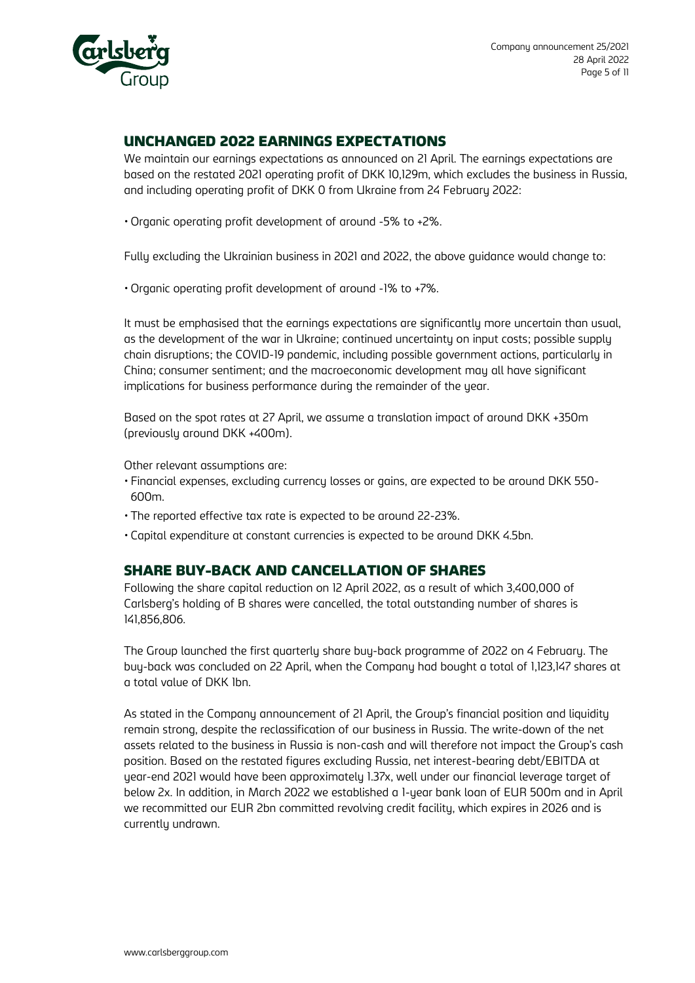

## UNCHANGED 2022 EARNINGS EXPECTATIONS

We maintain our earnings expectations as announced on 21 April. The earnings expectations are based on the restated 2021 operating profit of DKK 10,129m, which excludes the business in Russia, and including operating profit of DKK 0 from Ukraine from 24 February 2022:

• Organic operating profit development of around -5% to +2%.

Fully excluding the Ukrainian business in 2021 and 2022, the above guidance would change to:

• Organic operating profit development of around -1% to +7%.

It must be emphasised that the earnings expectations are significantly more uncertain than usual, as the development of the war in Ukraine; continued uncertainty on input costs; possible supply chain disruptions; the COVID-19 pandemic, including possible government actions, particularly in China; consumer sentiment; and the macroeconomic development may all have significant implications for business performance during the remainder of the year.

Based on the spot rates at 27 April, we assume a translation impact of around DKK +350m (previously around DKK +400m).

Other relevant assumptions are:

- Financial expenses, excluding currency losses or gains, are expected to be around DKK 550- 600m.
- The reported effective tax rate is expected to be around 22-23%.
- Capital expenditure at constant currencies is expected to be around DKK 4.5bn.

## SHARE BUY-BACK AND CANCELLATION OF SHARES

Following the share capital reduction on 12 April 2022, as a result of which 3,400,000 of Carlsberg's holding of B shares were cancelled, the total outstanding number of shares is 141,856,806.

The Group launched the first quarterly share buy-back programme of 2022 on 4 February. The buy-back was concluded on 22 April, when the Company had bought a total of 1,123,147 shares at a total value of DKK 1bn.

As stated in the Company announcement of 21 April, the Group's financial position and liquidity remain strong, despite the reclassification of our business in Russia. The write-down of the net assets related to the business in Russia is non-cash and will therefore not impact the Group's cash position. Based on the restated figures excluding Russia, net interest-bearing debt/EBITDA at year-end 2021 would have been approximately 1.37x, well under our financial leverage target of below 2x. In addition, in March 2022 we established a 1-year bank loan of EUR 500m and in April we recommitted our EUR 2bn committed revolving credit facility, which expires in 2026 and is currently undrawn.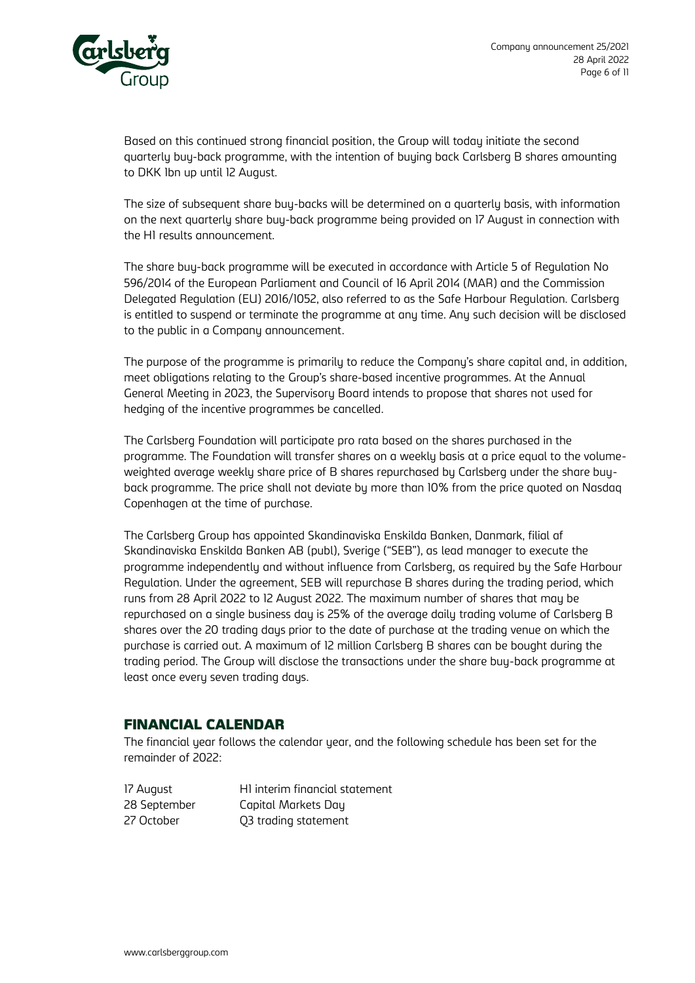

Based on this continued strong financial position, the Group will today initiate the second quarterly buy-back programme, with the intention of buying back Carlsberg B shares amounting to DKK 1bn up until 12 August.

The size of subsequent share buy-backs will be determined on a quarterly basis, with information on the next quarterly share buy-back programme being provided on 17 August in connection with the H1 results announcement.

The share buy-back programme will be executed in accordance with Article 5 of Regulation No 596/2014 of the European Parliament and Council of 16 April 2014 (MAR) and the Commission Delegated Regulation (EU) 2016/1052, also referred to as the Safe Harbour Regulation. Carlsberg is entitled to suspend or terminate the programme at any time. Any such decision will be disclosed to the public in a Company announcement.

The purpose of the programme is primarily to reduce the Company's share capital and, in addition, meet obligations relating to the Group's share-based incentive programmes. At the Annual General Meeting in 2023, the Supervisory Board intends to propose that shares not used for hedging of the incentive programmes be cancelled.

The Carlsberg Foundation will participate pro rata based on the shares purchased in the programme. The Foundation will transfer shares on a weekly basis at a price equal to the volumeweighted average weekly share price of B shares repurchased by Carlsberg under the share buyback programme. The price shall not deviate by more than 10% from the price quoted on Nasdaq Copenhagen at the time of purchase.

The Carlsberg Group has appointed Skandinaviska Enskilda Banken, Danmark, filial af Skandinaviska Enskilda Banken AB (publ), Sverige ("SEB"), as lead manager to execute the programme independently and without influence from Carlsberg, as required by the Safe Harbour Regulation. Under the agreement, SEB will repurchase B shares during the trading period, which runs from 28 April 2022 to 12 August 2022. The maximum number of shares that may be repurchased on a single business day is 25% of the average daily trading volume of Carlsberg B shares over the 20 trading days prior to the date of purchase at the trading venue on which the purchase is carried out. A maximum of 12 million Carlsberg B shares can be bought during the trading period. The Group will disclose the transactions under the share buy-back programme at least once every seven trading days.

## FINANCIAL CALENDAR

The financial year follows the calendar year, and the following schedule has been set for the remainder of 2022:

17 August H1 interim financial statement 28 September Capital Markets Day 27 October Q3 trading statement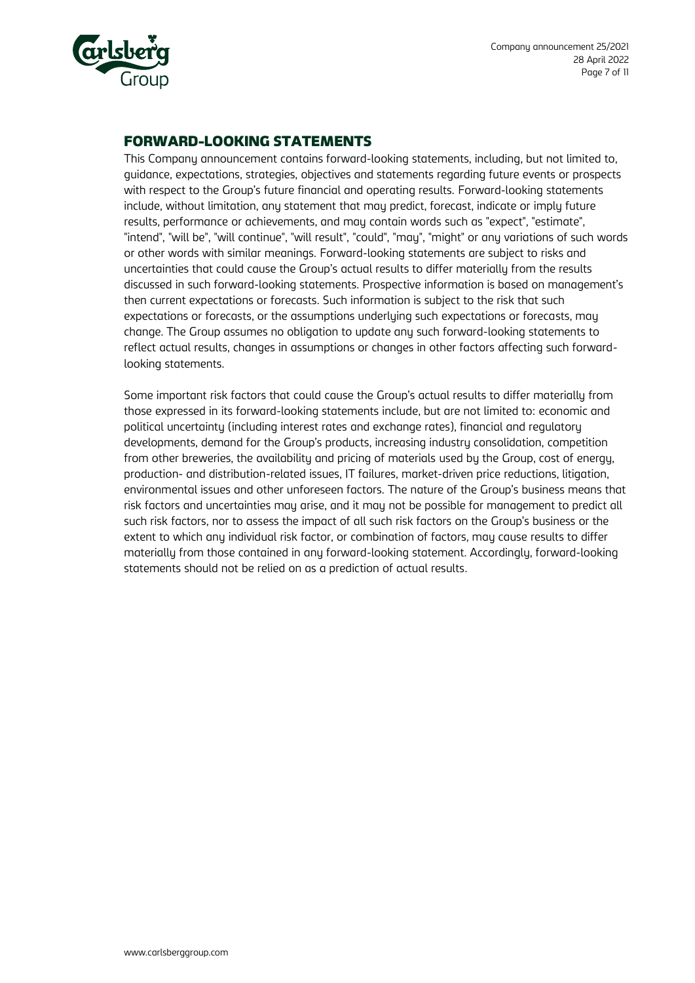

## FORWARD-LOOKING STATEMENTS

This Company announcement contains forward-looking statements, including, but not limited to, guidance, expectations, strategies, objectives and statements regarding future events or prospects with respect to the Group's future financial and operating results. Forward-looking statements include, without limitation, any statement that may predict, forecast, indicate or imply future results, performance or achievements, and may contain words such as "expect", "estimate", "intend", "will be", "will continue", "will result", "could", "may", "might" or any variations of such words or other words with similar meanings. Forward-looking statements are subject to risks and uncertainties that could cause the Group's actual results to differ materially from the results discussed in such forward-looking statements. Prospective information is based on management's then current expectations or forecasts. Such information is subject to the risk that such expectations or forecasts, or the assumptions underlying such expectations or forecasts, may change. The Group assumes no obligation to update any such forward-looking statements to reflect actual results, changes in assumptions or changes in other factors affecting such forwardlooking statements.

Some important risk factors that could cause the Group's actual results to differ materially from those expressed in its forward-looking statements include, but are not limited to: economic and political uncertainty (including interest rates and exchange rates), financial and regulatory developments, demand for the Group's products, increasing industry consolidation, competition from other breweries, the availability and pricing of materials used by the Group, cost of energy, production- and distribution-related issues, IT failures, market-driven price reductions, litigation, environmental issues and other unforeseen factors. The nature of the Group's business means that risk factors and uncertainties may arise, and it may not be possible for management to predict all such risk factors, nor to assess the impact of all such risk factors on the Group's business or the extent to which any individual risk factor, or combination of factors, may cause results to differ materially from those contained in any forward-looking statement. Accordingly, forward-looking statements should not be relied on as a prediction of actual results.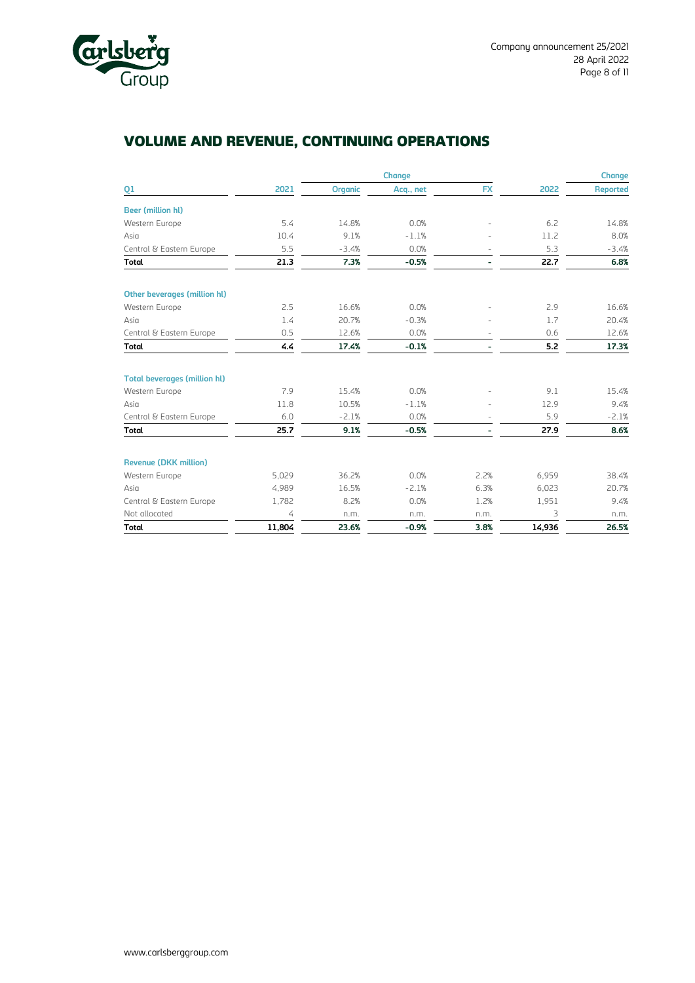

## VOLUME AND REVENUE, CONTINUING OPERATIONS

|                                     |        |                | <b>Change</b> |           |        | <b>Change</b>   |
|-------------------------------------|--------|----------------|---------------|-----------|--------|-----------------|
| Q1                                  | 2021   | <b>Organic</b> | Acq., net     | <b>FX</b> | 2022   | <b>Reported</b> |
| <b>Beer (million hl)</b>            |        |                |               |           |        |                 |
| Western Europe                      | 5.4    | 14.8%          | 0.0%          |           | 6.2    | 14.8%           |
| Asia                                | 10.4   | 9.1%           | $-1.1%$       |           | 11.2   | 8.0%            |
| Central & Eastern Europe            | 5.5    | $-3.4%$        | 0.0%          |           | 5.3    | $-3.4%$         |
| <b>Total</b>                        | 21.3   | 7.3%           | $-0.5%$       |           | 22.7   | 6.8%            |
| Other beverages (million hl)        |        |                |               |           |        |                 |
| Western Europe                      | 2.5    | 16.6%          | 0.0%          |           | 2.9    | 16.6%           |
| Asia                                | 1.4    | 20.7%          | $-0.3%$       |           | 1.7    | 20.4%           |
| Central & Eastern Europe            | 0.5    | 12.6%          | 0.0%          |           | 0.6    | 12.6%           |
| <b>Total</b>                        | 4.4    | 17.4%          | $-0.1%$       |           | 5.2    | 17.3%           |
| <b>Total beverages (million hl)</b> |        |                |               |           |        |                 |
| Western Europe                      | 7.9    | 15.4%          | 0.0%          |           | 9.1    | 15.4%           |
| Asia                                | 11.8   | 10.5%          | $-1.1%$       |           | 12.9   | 9.4%            |
| Central & Eastern Europe            | 6.0    | $-2.1%$        | 0.0%          |           | 5.9    | $-2.1%$         |
| <b>Total</b>                        | 25.7   | 9.1%           | $-0.5%$       |           | 27.9   | 8.6%            |
| <b>Revenue (DKK million)</b>        |        |                |               |           |        |                 |
| Western Europe                      | 5,029  | 36.2%          | 0.0%          | 2.2%      | 6,959  | 38.4%           |
| Asia                                | 4,989  | 16.5%          | $-2.1%$       | 6.3%      | 6,023  | 20.7%           |
| Central & Eastern Europe            | 1,782  | 8.2%           | 0.0%          | 1.2%      | 1,951  | 9.4%            |
| Not allocated                       | 4      | n.m.           | n.m.          | n.m.      | 3      | n.m.            |
| <b>Total</b>                        | 11,804 | 23.6%          | $-0.9%$       | 3.8%      | 14,936 | 26.5%           |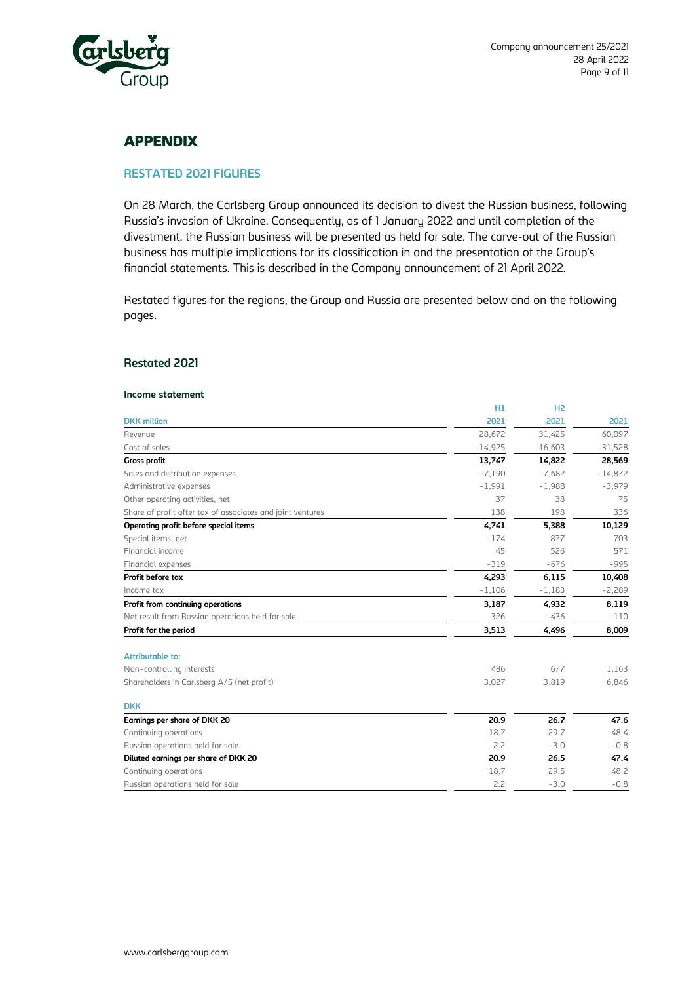

## APPENDIX

#### **RESTATED 2021 FIGURES**

On 28 March, the Carlsberg Group announced its decision to divest the Russian business, following Russia's invasion of Ukraine. Consequently, as of 1 January 2022 and until completion of the divestment, the Russian business will be presented as held for sale. The carve-out of the Russian business has multiple implications for its classification in and the presentation of the Group's financial statements. This is described in the Company announcement of 21 April 2022.

Restated figures for the regions, the Group and Russia are presented below and on the following pages.

#### **Restated 2021**

#### **Income statement**

|                                                            | H1        | H <sub>2</sub> |           |
|------------------------------------------------------------|-----------|----------------|-----------|
| <b>DKK</b> million                                         | 2021      | 2021           | 2021      |
| Revenue                                                    | 28,672    | 31,425         | 60,097    |
| Cost of sales                                              | $-14,925$ | $-16,603$      | $-31,528$ |
| <b>Gross profit</b>                                        | 13,747    | 14,822         | 28,569    |
| Sales and distribution expenses                            | $-7.190$  | $-7,682$       | $-14,872$ |
| Administrative expenses                                    | $-1,991$  | $-1,988$       | $-3,979$  |
| Other operating activities, net                            | 37        | 38             | 75        |
| Share of profit after tax of associates and joint ventures | 138       | 198            | 336       |
| Operating profit before special items                      | 4,741     | 5,388          | 10,129    |
| Special items, net                                         | $-174$    | 877            | 703       |
| Financial income                                           | 45        | 526            | 571       |
| Financial expenses                                         | $-319$    | $-676$         | $-995$    |
| Profit before tax                                          | 4,293     | 6,115          | 10,408    |
| Income tax                                                 | $-1,106$  | $-1,183$       | $-2,289$  |
| Profit from continuing operations                          | 3,187     | 4,932          | 8,119     |
| Net result from Russian operations held for sale           | 326       | $-436$         | $-110$    |
| Profit for the period                                      | 3,513     | 4,496          | 8,009     |
| <b>Attributable to:</b>                                    |           |                |           |
| Non-controlling interests                                  | 486       | 677            | 1,163     |
| Shareholders in Carlsberg A/S (net profit)                 | 3,027     | 3,819          | 6,846     |
| <b>DKK</b>                                                 |           |                |           |
| Earnings per share of DKK 20                               | 20.9      | 26.7           | 47.6      |
| Continuing operations                                      | 18.7      | 29.7           | 48.4      |
| Russian operations held for sale                           | 2.2       | $-3.0$         | $-0.8$    |
| Diluted earnings per share of DKK 20                       | 20.9      | 26.5           | 47.4      |
| Continuing operations                                      | 18.7      | 29.5           | 48.2      |
| Russian operations held for sale                           | 2.2       | $-3.0$         | $-0.8$    |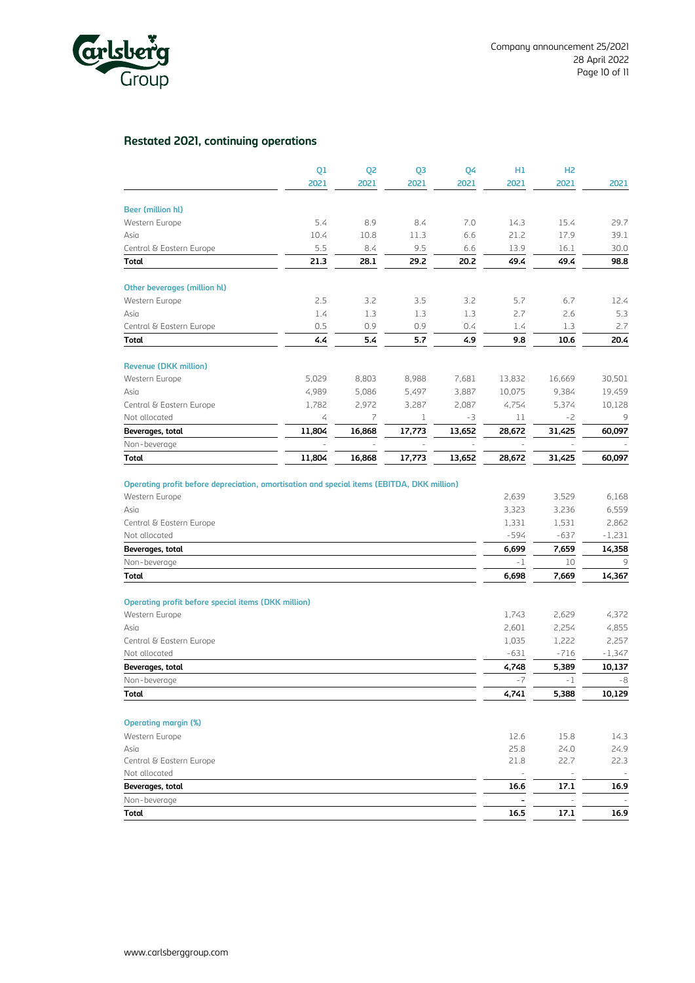

## **Restated 2021, continuing operations**

|                              | 01     | 02     | 03     | 04     | H1     | H <sub>2</sub> |        |
|------------------------------|--------|--------|--------|--------|--------|----------------|--------|
|                              | 2021   | 2021   | 2021   | 2021   | 2021   | 2021           | 2021   |
| <b>Beer (million hl)</b>     |        |        |        |        |        |                |        |
| Western Europe               | 5.4    | 8.9    | 8.4    | 7.0    | 14.3   | 15.4           | 29.7   |
| Asia                         | 10.4   | 10.8   | 11.3   | 6.6    | 21.2   | 17.9           | 39.1   |
| Central & Eastern Europe     | 5.5    | 8.4    | 9.5    | 6.6    | 13.9   | 16.1           | 30.0   |
| <b>Total</b>                 | 21.3   | 28.1   | 29.2   | 20.2   | 49.4   | 49.4           | 98.8   |
| Other beverages (million hl) |        |        |        |        |        |                |        |
| Western Europe               | 2.5    | 3.2    | 3.5    | 3.2    | 5.7    | 6.7            | 12.4   |
| Asia                         | 1.4    | 1.3    | 1.3    | 1.3    | 2.7    | 2.6            | 5.3    |
| Central & Eastern Europe     | 0.5    | 0.9    | 0.9    | 0.4    | 1.4    | 1.3            | 2.7    |
| <b>Total</b>                 | 4.4    | 5.4    | 5.7    | 4.9    | 9.8    | 10.6           | 20.4   |
| <b>Revenue (DKK million)</b> |        |        |        |        |        |                |        |
| Western Europe               | 5.029  | 8,803  | 8,988  | 7,681  | 13,832 | 16,669         | 30,501 |
| Asia                         | 4,989  | 5,086  | 5,497  | 3,887  | 10,075 | 9,384          | 19,459 |
| Central & Eastern Europe     | 1.782  | 2.972  | 3,287  | 2.087  | 4.754  | 5,374          | 10,128 |
| Not allocated                | 4      | 7      | 1      | $-3$   | 11     | $-2$           | 9      |
| Beverages, total             | 11,804 | 16,868 | 17,773 | 13,652 | 28,672 | 31,425         | 60,097 |
| Non-beverage                 |        |        |        |        |        |                |        |
| <b>Total</b>                 | 11,804 | 16,868 | 17,773 | 13,652 | 28,672 | 31,425         | 60,097 |

| Total                                                      | 4,741  | 5,388  | 10,129   |
|------------------------------------------------------------|--------|--------|----------|
| Non-beverage                                               | $-7$   | $-1$   | $-8$     |
| Beverages, total                                           | 4,748  | 5,389  | 10,137   |
| Not allocated                                              | $-631$ | $-716$ | $-1,347$ |
| Central & Eastern Europe                                   | 1,035  | 1,222  | 2,257    |
| Asia                                                       | 2,601  | 2,254  | 4,855    |
| Western Europe                                             | 1,743  | 2,629  | 4,372    |
| <b>Operating profit before special items (DKK million)</b> |        |        |          |
| Total                                                      | 6,698  | 7,669  | 14,367   |
| Non-beverage                                               | $-1$   | 10     | 9        |
| Beverages, total                                           | 6,699  | 7,659  | 14,358   |
| Not allocated                                              | -594   | $-637$ | $-1,231$ |
| Central & Eastern Europe                                   | 1,331  | 1,531  | 2,862    |
| Asia                                                       | 3,323  | 3,236  | 6,559    |
| Western Europe                                             | 2,639  | 3,529  | 6,168    |

#### **Operating margin (%)**

| <b>Total</b>             | 16.5   | 17.1        | 16.9 |
|--------------------------|--------|-------------|------|
| Non-beverage             | -      | $\sim$      |      |
| Beverages, total         | 16.6   | 17.1        | 16.9 |
| Not allocated            | $\sim$ | <b>Sec.</b> |      |
| Central & Eastern Europe | 21.8   | 22.7        | 22.3 |
| Asia                     | 25.8   | 24.0        | 24.9 |
| Western Europe           | 12.6   | 15.8        | 14.3 |
|                          |        |             |      |